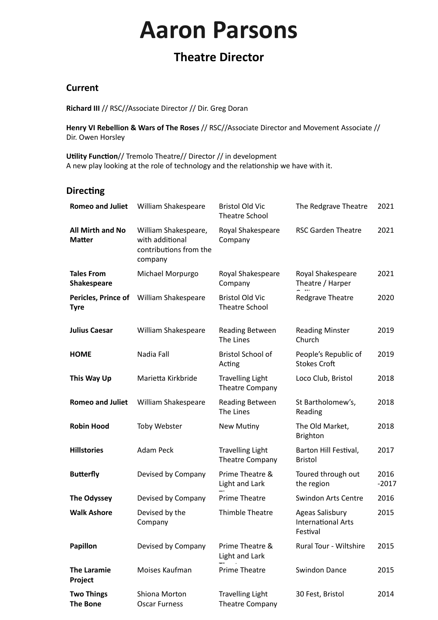# **Aaron Parsons**

# **Theatre Director**

#### **Current**

**Richard III** // RSC//Associate Director // Dir. Greg Doran

**Henry VI Rebellion & Wars of The Roses** // RSC//Associate Director and Movement Associate // Dir. Owen Horsley

**Utility Function**// Tremolo Theatre// Director // in development A new play looking at the role of technology and the relationship we have with it.

## **Directing**

| <b>Romeo and Juliet</b>                  | William Shakespeare                                                          | <b>Bristol Old Vic</b><br><b>Theatre School</b> | The Redgrave Theatre                                            | 2021            |
|------------------------------------------|------------------------------------------------------------------------------|-------------------------------------------------|-----------------------------------------------------------------|-----------------|
| <b>All Mirth and No</b><br><b>Matter</b> | William Shakespeare,<br>with additional<br>contributions from the<br>company | Royal Shakespeare<br>Company                    | <b>RSC Garden Theatre</b>                                       | 2021            |
| <b>Tales From</b><br><b>Shakespeare</b>  | Michael Morpurgo                                                             | Royal Shakespeare<br>Company                    | Royal Shakespeare<br>Theatre / Harper                           | 2021            |
| Pericles, Prince of<br><b>Tyre</b>       | William Shakespeare                                                          | <b>Bristol Old Vic</b><br><b>Theatre School</b> | Redgrave Theatre                                                | 2020            |
| <b>Julius Caesar</b>                     | William Shakespeare                                                          | <b>Reading Between</b><br>The Lines             | <b>Reading Minster</b><br>Church                                | 2019            |
| <b>HOME</b>                              | Nadia Fall                                                                   | <b>Bristol School of</b><br>Acting              | People's Republic of<br><b>Stokes Croft</b>                     | 2019            |
| This Way Up                              | Marietta Kirkbride                                                           | <b>Travelling Light</b><br>Theatre Company      | Loco Club, Bristol                                              | 2018            |
| <b>Romeo and Juliet</b>                  | William Shakespeare                                                          | Reading Between<br>The Lines                    | St Bartholomew's,<br>Reading                                    | 2018            |
| <b>Robin Hood</b>                        | <b>Toby Webster</b>                                                          | New Mutiny                                      | The Old Market,<br><b>Brighton</b>                              | 2018            |
| <b>Hillstories</b>                       | Adam Peck                                                                    | <b>Travelling Light</b><br>Theatre Company      | Barton Hill Festival,<br><b>Bristol</b>                         | 2017            |
| <b>Butterfly</b>                         | Devised by Company                                                           | Prime Theatre &<br><b>Light and Lark</b>        | Toured through out<br>the region                                | 2016<br>$-2017$ |
| The Odyssey                              | Devised by Company                                                           | <b>Prime Theatre</b>                            | <b>Swindon Arts Centre</b>                                      | 2016            |
| <b>Walk Ashore</b>                       | Devised by the<br>Company                                                    | Thimble Theatre                                 | <b>Ageas Salisbury</b><br><b>International Arts</b><br>Festival | 2015            |
| <b>Papillon</b>                          | Devised by Company                                                           | Prime Theatre &<br>Light and Lark               | Rural Tour - Wiltshire                                          | 2015            |
| <b>The Laramie</b><br>Project            | Moises Kaufman                                                               | <b>Prime Theatre</b>                            | <b>Swindon Dance</b>                                            | 2015            |
| <b>Two Things</b><br><b>The Bone</b>     | Shiona Morton<br><b>Oscar Furness</b>                                        | <b>Travelling Light</b><br>Theatre Company      | 30 Fest, Bristol                                                | 2014            |